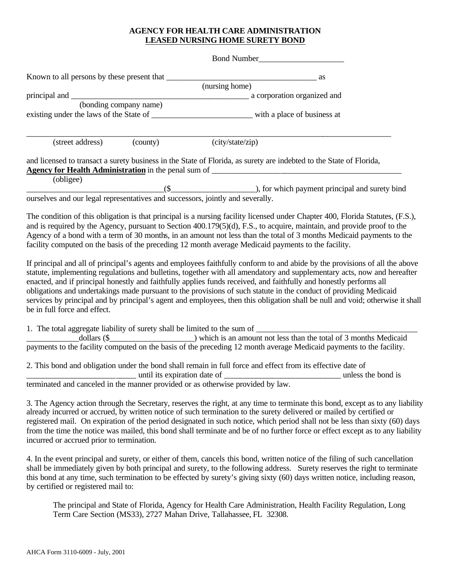## **AGENCY FOR HEALTH CARE ADMINISTRATION LEASED NURSING HOME SURETY BOND**

Bond Number Known to all persons by these present that \_\_\_\_\_\_\_\_\_\_\_\_\_\_\_\_\_\_\_\_\_\_\_\_\_\_\_\_\_\_\_\_\_\_\_\_\_ as (nursing home) principal and \_\_\_\_\_\_\_\_\_\_\_\_\_\_\_\_\_\_\_\_\_\_\_\_\_\_\_\_\_\_\_\_\_\_\_\_\_\_\_\_\_\_\_\_ a corporation organized and (bonding company name) existing under the laws of the State of \_\_\_\_\_\_\_\_\_\_\_\_\_\_\_\_\_\_\_\_\_\_\_\_\_ with a place of business at \_\_\_\_\_\_\_\_\_\_\_\_\_\_\_\_\_\_\_\_\_\_\_\_\_\_\_\_\_\_\_\_\_\_\_\_\_\_\_\_\_\_\_\_\_\_\_\_\_\_\_\_\_\_\_\_\_\_\_\_\_\_\_\_\_\_\_\_\_\_\_\_\_\_\_\_\_\_\_\_\_\_\_\_\_\_\_\_\_\_ (street address) (county) and licensed to transact a surety business in the State of Florida, as surety are indebted to the State of Florida, **Agency for Health Administration** in the penal sum of (obligee)  $($   $($   $)$   $)$ , for which payment principal and surety bind ourselves and our legal representatives and successors, jointly and severally.

The condition of this obligation is that principal is a nursing facility licensed under Chapter 400, Florida Statutes, (F.S.), and is required by the Agency, pursuant to Section 400.179(5)(d), F.S., to acquire, maintain, and provide proof to the Agency of a bond with a term of 30 months, in an amount not less than the total of 3 months Medicaid payments to the facility computed on the basis of the preceding 12 month average Medicaid payments to the facility.

If principal and all of principal's agents and employees faithfully conform to and abide by the provisions of all the above statute, implementing regulations and bulletins, together with all amendatory and supplementary acts, now and hereafter enacted, and if principal honestly and faithfully applies funds received, and faithfully and honestly performs all obligations and undertakings made pursuant to the provisions of such statute in the conduct of providing Medicaid services by principal and by principal's agent and employees, then this obligation shall be null and void; otherwise it shall be in full force and effect.

1. The total aggregate liability of surety shall be limited to the sum of \_\_\_\_\_\_\_\_\_\_\_\_\_\_\_\_\_\_\_\_\_\_\_\_\_\_\_\_\_\_\_\_\_\_\_\_\_\_\_\_

\_\_\_\_\_\_\_\_\_\_\_\_\_dollars (\$\_\_\_\_\_\_\_\_\_\_\_\_\_\_\_\_\_\_\_\_\_) which is an amount not less than the total of 3 months Medicaid payments to the facility computed on the basis of the preceding 12 month average Medicaid payments to the facility.

2. This bond and obligation under the bond shall remain in full force and effect from its effective date of \_\_\_\_\_\_\_\_\_\_\_\_\_\_\_\_\_\_\_\_\_\_\_\_\_\_\_ until its expiration date of \_\_\_\_\_\_\_\_\_\_\_\_\_\_\_\_\_\_\_\_\_\_\_\_\_\_\_\_\_ unless the bond is terminated and canceled in the manner provided or as otherwise provided by law.

3. The Agency action through the Secretary, reserves the right, at any time to terminate this bond, except as to any liability already incurred or accrued, by written notice of such termination to the surety delivered or mailed by certified or registered mail. On expiration of the period designated in such notice, which period shall not be less than sixty (60) days from the time the notice was mailed, this bond shall terminate and be of no further force or effect except as to any liability incurred or accrued prior to termination.

4. In the event principal and surety, or either of them, cancels this bond, written notice of the filing of such cancellation shall be immediately given by both principal and surety, to the following address. Surety reserves the right to terminate this bond at any time, such termination to be effected by surety's giving sixty (60) days written notice, including reason, by certified or registered mail to:

The principal and State of Florida, Agency for Health Care Administration, Health Facility Regulation, Long Term Care Section (MS33), 2727 Mahan Drive, Tallahassee, FL 32308.